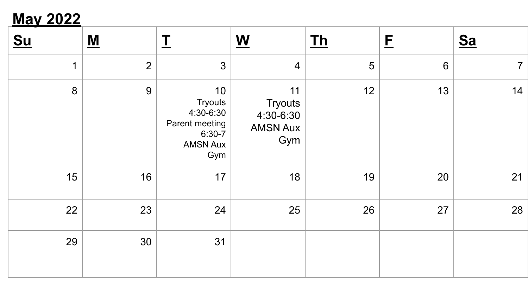## **May 2022**

| <u>Su</u>   | $\underline{\mathbf{M}}$ | $\mathbf I$                                                                               | $\underline{\mathbf{W}}$                                    | $Th$           | $\mathbf{E}$ | $S_{a}$        |
|-------------|--------------------------|-------------------------------------------------------------------------------------------|-------------------------------------------------------------|----------------|--------------|----------------|
| $\mathbf 1$ | $\overline{2}$           | 3                                                                                         | $\overline{4}$                                              | $\overline{5}$ | $6\,$        | $\overline{7}$ |
| 8           | $9$                      | 10<br><b>Tryouts</b><br>4:30-6:30<br>Parent meeting<br>$6:30-7$<br><b>AMSN Aux</b><br>Gym | 11<br><b>Tryouts</b><br>4:30-6:30<br><b>AMSN Aux</b><br>Gym | 12             | 13           | 14             |
| 15          | 16                       | 17                                                                                        | 18                                                          | 19             | 20           | 21             |
| 22          | 23                       | 24                                                                                        | 25                                                          | 26             | 27           | 28             |
| 29          | 30                       | 31                                                                                        |                                                             |                |              |                |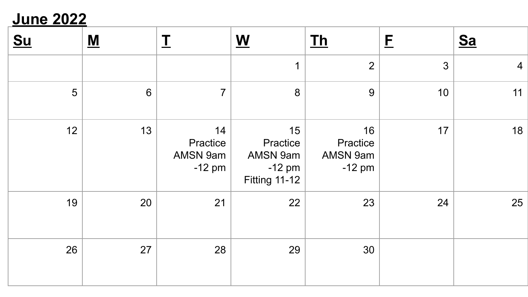## **June 2022**

| <u>Su</u> | $\underline{\mathbf{M}}$ | <u>T</u>                               | $\underline{\mathbf{W}}$                                       | $Ih$                                   | $\mathbf{E}$ | $S_{a}$        |
|-----------|--------------------------|----------------------------------------|----------------------------------------------------------------|----------------------------------------|--------------|----------------|
|           |                          |                                        | 1                                                              | $\overline{2}$                         | 3            | $\overline{4}$ |
| 5         | $6\,$                    | $\overline{7}$                         | 8                                                              | $9\,$                                  | 10           | 11             |
| 12        | 13                       | 14<br>Practice<br>AMSN 9am<br>$-12$ pm | 15<br>Practice<br>AMSN 9am<br>$-12$ pm<br><b>Fitting 11-12</b> | 16<br>Practice<br>AMSN 9am<br>$-12$ pm | 17           | 18             |
| 19        | 20                       | 21                                     | 22                                                             | 23                                     | 24           | 25             |
| 26        | 27                       | 28                                     | 29                                                             | 30                                     |              |                |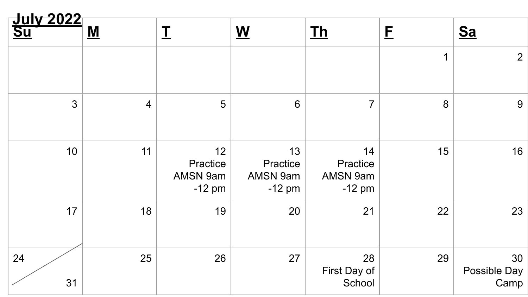| <u>July 2022</u><br><u>Su</u> | $\underline{\mathbf{M}}$ | $\mathbf I$                            | $\underline{\mathbf{W}}$               | $Th$                                   | E           | $S_{a}$                    |  |  |
|-------------------------------|--------------------------|----------------------------------------|----------------------------------------|----------------------------------------|-------------|----------------------------|--|--|
|                               |                          |                                        |                                        |                                        | $\mathbf 1$ | $\overline{2}$             |  |  |
| $\mathfrak{S}$                | $\overline{4}$           | 5                                      | $6\phantom{1}$                         | $\overline{7}$                         | 8           | 9                          |  |  |
| 10                            | 11                       | 12<br>Practice<br>AMSN 9am<br>$-12$ pm | 13<br>Practice<br>AMSN 9am<br>$-12$ pm | 14<br>Practice<br>AMSN 9am<br>$-12$ pm | 15          | 16                         |  |  |
| 17                            | 18                       | 19                                     | 20                                     | 21                                     | 22          | 23                         |  |  |
| 24<br>31                      | 25                       | 26                                     | 27                                     | 28<br>First Day of<br>School           | 29          | 30<br>Possible Day<br>Camp |  |  |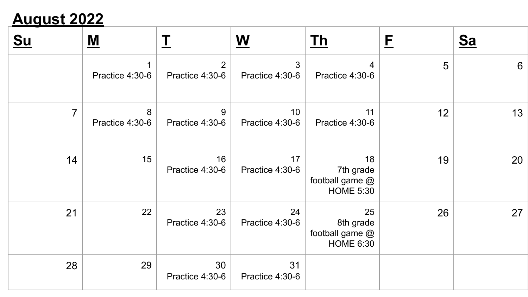# **August 2022**

| <u>Su</u>      | <u>M</u>             | $\mathbf I$                       | $\underline{\mathbf{W}}$ | <u> Th</u>                                             | $\mathsf{E}% _{T}$ | $\underline{\underline{Sa}}$ |
|----------------|----------------------|-----------------------------------|--------------------------|--------------------------------------------------------|--------------------|------------------------------|
|                | Practice 4:30-6      | $\overline{2}$<br>Practice 4:30-6 | 3<br>Practice 4:30-6     | 4<br>Practice 4:30-6                                   | 5                  | 6                            |
| $\overline{7}$ | 8<br>Practice 4:30-6 | 9<br>Practice 4:30-6              | 10<br>Practice 4:30-6    | 11<br>Practice 4:30-6                                  | 12                 | 13                           |
| 14             | 15                   | 16<br>Practice 4:30-6             | 17<br>Practice 4:30-6    | 18<br>7th grade<br>football game @<br><b>HOME 5:30</b> | 19                 | 20                           |
| 21             | 22                   | 23<br>Practice 4:30-6             | 24<br>Practice 4:30-6    | 25<br>8th grade<br>football game @<br><b>HOME 6:30</b> | 26                 | 27                           |
| 28             | 29                   | 30<br>Practice 4:30-6             | 31<br>Practice 4:30-6    |                                                        |                    |                              |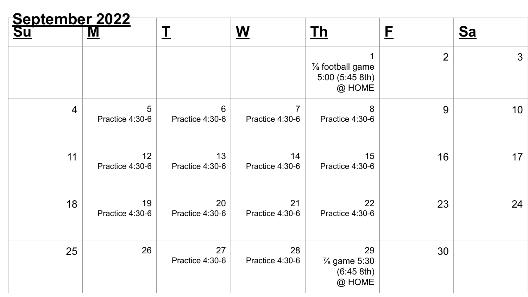| <u>September 2022</u><br><u>Su</u> ernal M |                       | I                     | $\underline{\mathbf{W}}$ | $Th$                                                     | E              | $S_{a}$         |  |  |
|--------------------------------------------|-----------------------|-----------------------|--------------------------|----------------------------------------------------------|----------------|-----------------|--|--|
|                                            |                       |                       |                          | $\frac{7}{8}$ football game<br>5:00 (5:45 8th)<br>@ HOME | $\overline{2}$ | $\mathbf{3}$    |  |  |
| $\overline{4}$                             | 5<br>Practice 4:30-6  | 6<br>Practice 4:30-6  | Practice 4:30-6          | 8<br>Practice 4:30-6                                     | 9              | 10 <sub>1</sub> |  |  |
| 11                                         | 12<br>Practice 4:30-6 | 13<br>Practice 4:30-6 | 14<br>Practice 4:30-6    | 15<br>Practice 4:30-6                                    | 16             | 17              |  |  |
| 18                                         | 19<br>Practice 4:30-6 | 20<br>Practice 4:30-6 | 21<br>Practice 4:30-6    | 22<br>Practice 4:30-6                                    | 23             | 24              |  |  |
| 25                                         | 26                    | 27<br>Practice 4:30-6 | 28<br>Practice 4:30-6    | 29<br>$\frac{7}{8}$ game 5:30<br>(6:45 8th)<br>@ HOME    | 30             |                 |  |  |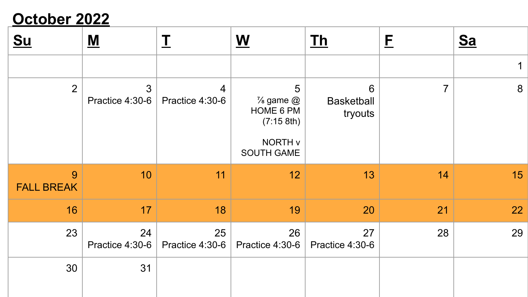# **October 2022**

| $Su$                   | $\underline{\mathbf{M}}$          | I                                 | $\underline{\mathbf{W}}$                                                                    | <u>Th</u>                                       | E              | <u>Sa</u>        |
|------------------------|-----------------------------------|-----------------------------------|---------------------------------------------------------------------------------------------|-------------------------------------------------|----------------|------------------|
|                        |                                   |                                   |                                                                                             |                                                 |                | 1                |
| $\overline{2}$         | $\mathfrak{S}$<br>Practice 4:30-6 | $\overline{4}$<br>Practice 4:30-6 | 5<br>$\frac{7}{8}$ game $\omega$<br>HOME 6 PM<br>(7:15 8th)<br>NORTH v<br><b>SOUTH GAME</b> | $6\phantom{1}6$<br><b>Basketball</b><br>tryouts | $\overline{7}$ | $\boldsymbol{8}$ |
| 9<br><b>FALL BREAK</b> | 10                                | 11                                | 12                                                                                          | 13                                              | 14             | 15               |
| 16                     | 17                                | 18                                | 19                                                                                          | 20                                              | 21             | 22               |
| 23                     | 24<br>Practice 4:30-6             | 25<br>Practice 4:30-6             | 26<br>Practice 4:30-6                                                                       | 27<br>Practice 4:30-6                           | 28             | 29               |
| 30                     | 31                                |                                   |                                                                                             |                                                 |                |                  |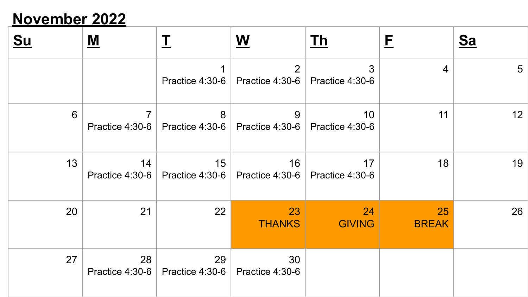### **November 2022**

| <u>Su</u> | <u>М</u>                          | 工                                       | $\underline{\mathsf{W}}$          | <u> Th</u>                         | E                  | <u>Sa</u>       |
|-----------|-----------------------------------|-----------------------------------------|-----------------------------------|------------------------------------|--------------------|-----------------|
|           |                                   | 1<br>Practice 4:30-6                    | $\overline{2}$<br>Practice 4:30-6 | $\mathbf{3}$<br>Practice 4:30-6    | $\overline{4}$     | $5\overline{)}$ |
| 6         | $\overline{7}$<br>Practice 4:30-6 | 8<br>Practice 4:30-6                    | 9<br>Practice 4:30-6              | 10 <sup>°</sup><br>Practice 4:30-6 | 11                 | 12              |
| 13        | 14<br>Practice 4:30-6             | 15<br>Practice 4:30-6                   | 16<br>Practice 4:30-6             | 17<br>Practice 4:30-6              | 18                 | 19              |
| 20        | 21                                | 22                                      | 23<br><b>THANKS</b>               | 24<br><b>GIVING</b>                | 25<br><b>BREAK</b> | 26              |
| 27        | 28                                | 29<br>Practice 4:30-6   Practice 4:30-6 | 30<br>Practice 4:30-6             |                                    |                    |                 |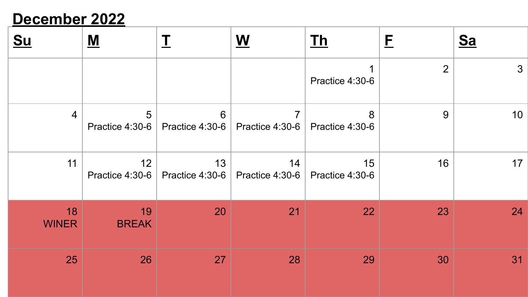### **December 2022**

| <u>Su</u>          | <u>М</u>              |                         | W                                 | <u> Th</u>            | E  | $\underline{\underline{Sa}}$ |
|--------------------|-----------------------|-------------------------|-----------------------------------|-----------------------|----|------------------------------|
|                    |                       |                         |                                   | Practice 4:30-6       | 2  | $\mathbf{3}$                 |
| 4                  | 5<br>Practice 4:30-6  | 6                       | Practice 4:30-6   Practice 4:30-6 | 8<br>Practice 4:30-6  | 9  | 10 <sup>°</sup>              |
| 11                 | 12<br>Practice 4:30-6 | 13<br>Practice $4:30-6$ | 14<br>Practice 4:30-6 $\vert$     | 15<br>Practice 4:30-6 | 16 | 17                           |
| 18<br><b>WINER</b> | 19<br><b>BREAK</b>    | 20                      | 21                                | 22                    | 23 | 24                           |
| 25                 | 26                    | 27                      | 28                                | 29                    | 30 | 31                           |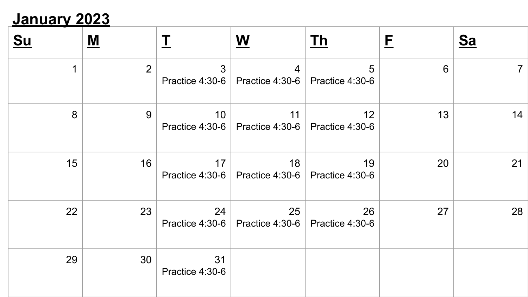## **January 2023**

| <u>Su</u> | <u>M</u>       |                                    | $\underline{\mathbf{W}}$ | <u> Th</u>                         | E  | <u>Sa</u>      |
|-----------|----------------|------------------------------------|--------------------------|------------------------------------|----|----------------|
| 1         | $\overline{2}$ | 3<br>Practice 4:30-6               | 4<br>Practice 4:30-6     | 5<br>Practice 4:30-6               | 6  | $\overline{7}$ |
| 8         | 9              | 10 <sup>1</sup><br>Practice 4:30-6 | 11<br>Practice 4:30-6    | 12 <sub>2</sub><br>Practice 4:30-6 | 13 | 14             |
| 15        | 16             | 17<br>Practice 4:30-6              | 18<br>Practice 4:30-6    | 19<br>Practice 4:30-6              | 20 | 21             |
| 22        | 23             | 24<br>Practice 4:30-6              | 25<br>Practice 4:30-6    | 26<br>Practice 4:30-6              | 27 | 28             |
| 29        | 30             | 31<br>Practice 4:30-6              |                          |                                    |    |                |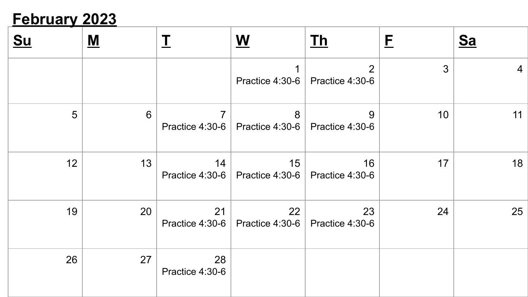## **February 2023**

| <u>Su</u> | $\underline{\mathbf{M}}$ |                                   | W                     | <u>Th</u>                         | E              | $S_{a}$ |
|-----------|--------------------------|-----------------------------------|-----------------------|-----------------------------------|----------------|---------|
|           |                          |                                   | Practice 4:30-6       | $\overline{2}$<br>Practice 4:30-6 | $\mathfrak{S}$ | 4       |
| 5         | 6                        | $\overline{7}$<br>Practice 4:30-6 | 8<br>Practice 4:30-6  | 9<br>Practice 4:30-6              | 10             | 11      |
| 12        | 13                       | 14<br>Practice 4:30-6             | 15<br>Practice 4:30-6 | 16<br>Practice 4:30-6             | 17             | 18      |
| 19        | 20                       | 21<br>Practice 4:30-6 $ $         | 22<br>Practice 4:30-6 | 23<br>Practice 4:30-6             | 24             | 25      |
| 26        | 27                       | 28<br>Practice 4:30-6             |                       |                                   |                |         |